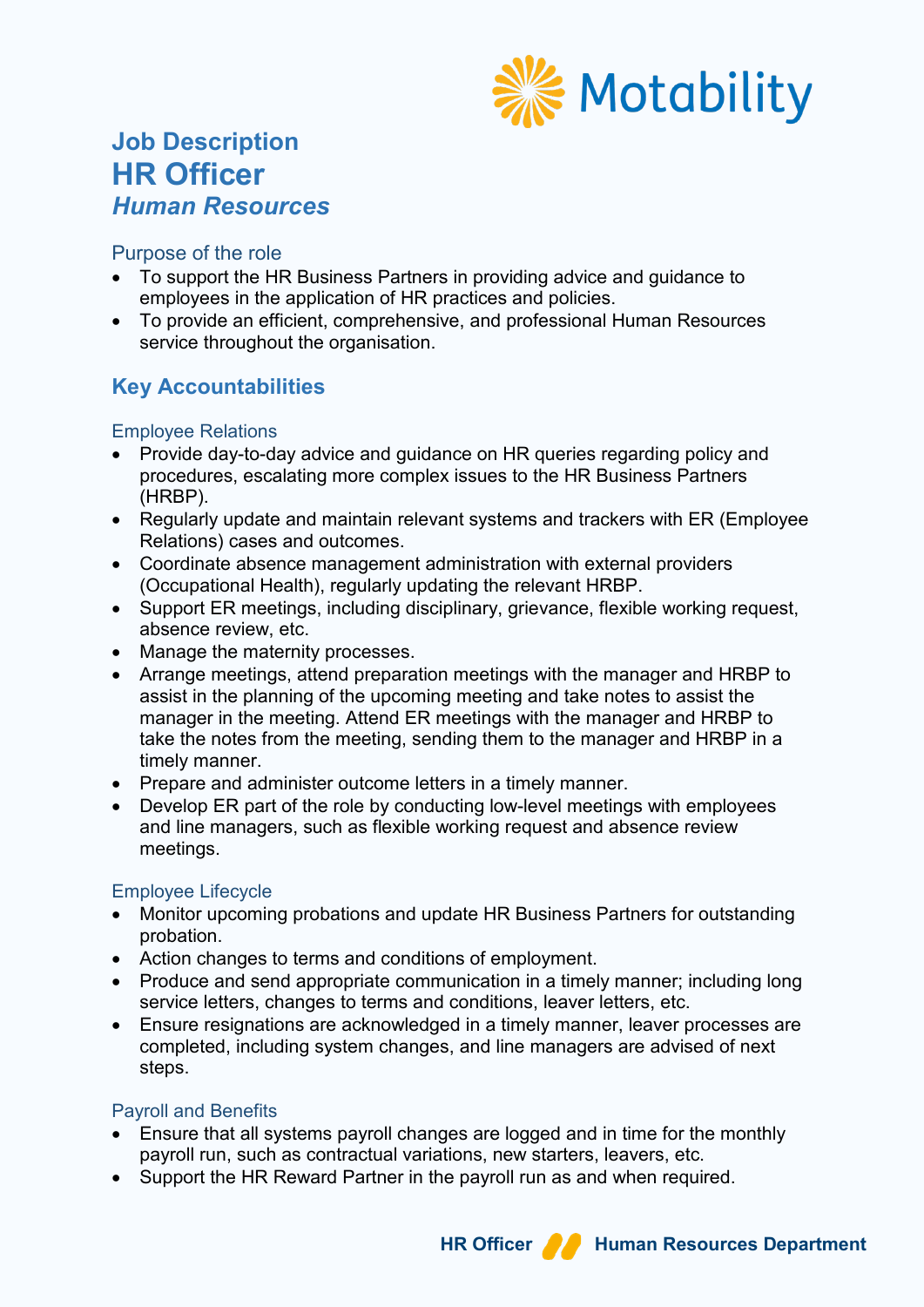

# **Job Description HR Officer** *Human Resources*

### Purpose of the role

- To support the HR Business Partners in providing advice and guidance to employees in the application of HR practices and policies.
- To provide an efficient, comprehensive, and professional Human Resources service throughout the organisation.

## **Key Accountabilities**

#### Employee Relations

- Provide day-to-day advice and guidance on HR queries regarding policy and procedures, escalating more complex issues to the HR Business Partners (HRBP).
- Regularly update and maintain relevant systems and trackers with ER (Employee Relations) cases and outcomes.
- Coordinate absence management administration with external providers (Occupational Health), regularly updating the relevant HRBP.
- Support ER meetings, including disciplinary, grievance, flexible working request, absence review, etc.
- Manage the maternity processes.
- Arrange meetings, attend preparation meetings with the manager and HRBP to assist in the planning of the upcoming meeting and take notes to assist the manager in the meeting. Attend ER meetings with the manager and HRBP to take the notes from the meeting, sending them to the manager and HRBP in a timely manner.
- Prepare and administer outcome letters in a timely manner.
- Develop ER part of the role by conducting low-level meetings with employees and line managers, such as flexible working request and absence review meetings.

## Employee Lifecycle

- Monitor upcoming probations and update HR Business Partners for outstanding probation.
- Action changes to terms and conditions of employment.
- Produce and send appropriate communication in a timely manner; including long service letters, changes to terms and conditions, leaver letters, etc.
- Ensure resignations are acknowledged in a timely manner, leaver processes are completed, including system changes, and line managers are advised of next steps.

## Payroll and Benefits

- Ensure that all systems payroll changes are logged and in time for the monthly payroll run, such as contractual variations, new starters, leavers, etc.
- Support the HR Reward Partner in the payroll run as and when required.

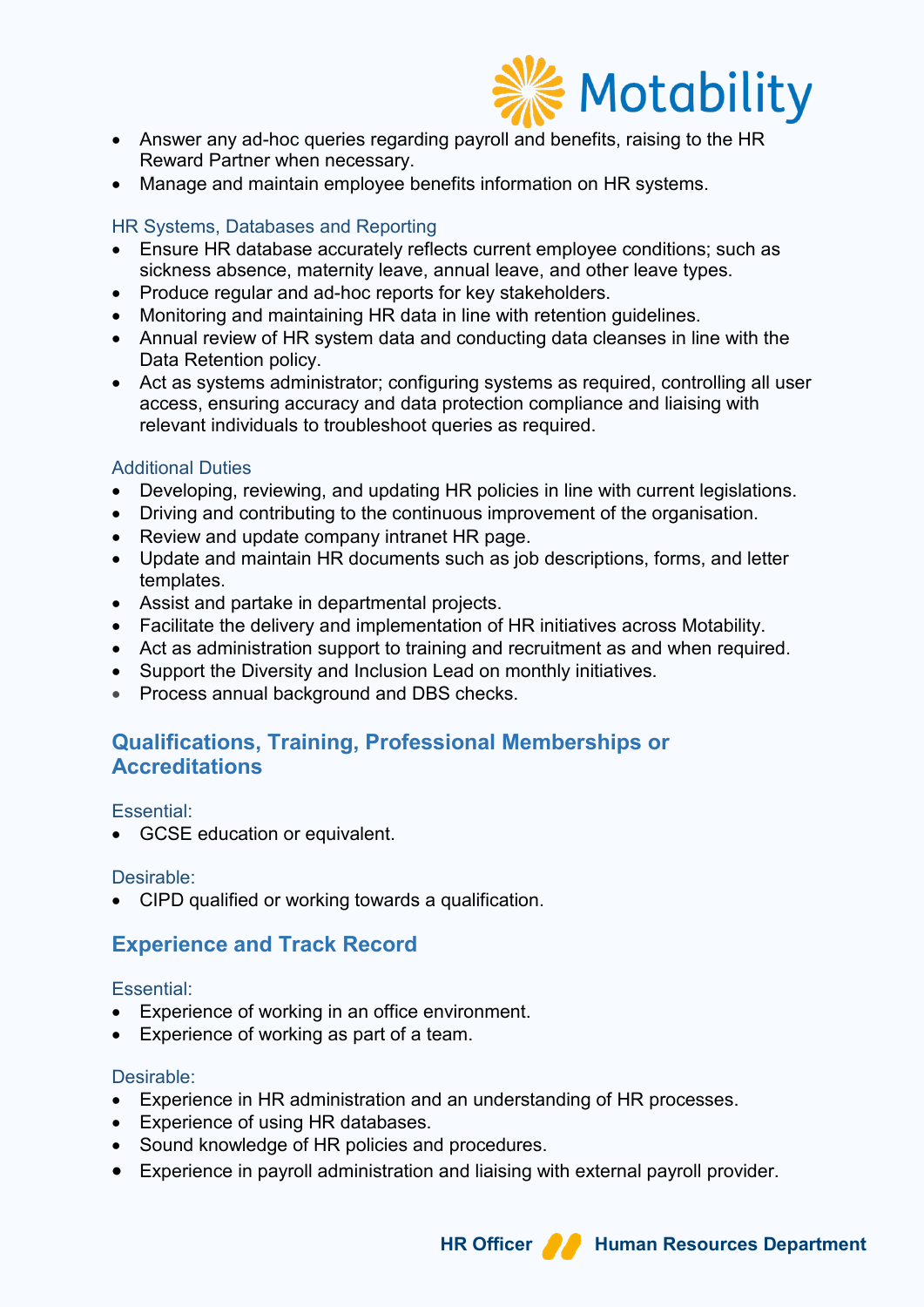

- Answer any ad-hoc queries regarding payroll and benefits, raising to the HR Reward Partner when necessary.
- Manage and maintain employee benefits information on HR systems.

## HR Systems, Databases and Reporting

- Ensure HR database accurately reflects current employee conditions; such as sickness absence, maternity leave, annual leave, and other leave types.
- Produce regular and ad-hoc reports for key stakeholders.
- Monitoring and maintaining HR data in line with retention guidelines.
- Annual review of HR system data and conducting data cleanses in line with the Data Retention policy.
- Act as systems administrator; configuring systems as required, controlling all user access, ensuring accuracy and data protection compliance and liaising with relevant individuals to troubleshoot queries as required.

#### Additional Duties

- Developing, reviewing, and updating HR policies in line with current legislations.
- Driving and contributing to the continuous improvement of the organisation.
- Review and update company intranet HR page.
- Update and maintain HR documents such as job descriptions, forms, and letter templates.
- Assist and partake in departmental projects.
- Facilitate the delivery and implementation of HR initiatives across Motability.
- Act as administration support to training and recruitment as and when required.
- Support the Diversity and Inclusion Lead on monthly initiatives.
- Process annual background and DBS checks.

## **Qualifications, Training, Professional Memberships or Accreditations**

#### Essential:

• GCSE education or equivalent.

#### Desirable:

• CIPD qualified or working towards a qualification.

## **Experience and Track Record**

#### Essential:

- Experience of working in an office environment.
- Experience of working as part of a team.

## Desirable:

- Experience in HR administration and an understanding of HR processes.
- Experience of using HR databases.
- Sound knowledge of HR policies and procedures.
- Experience in payroll administration and liaising with external payroll provider.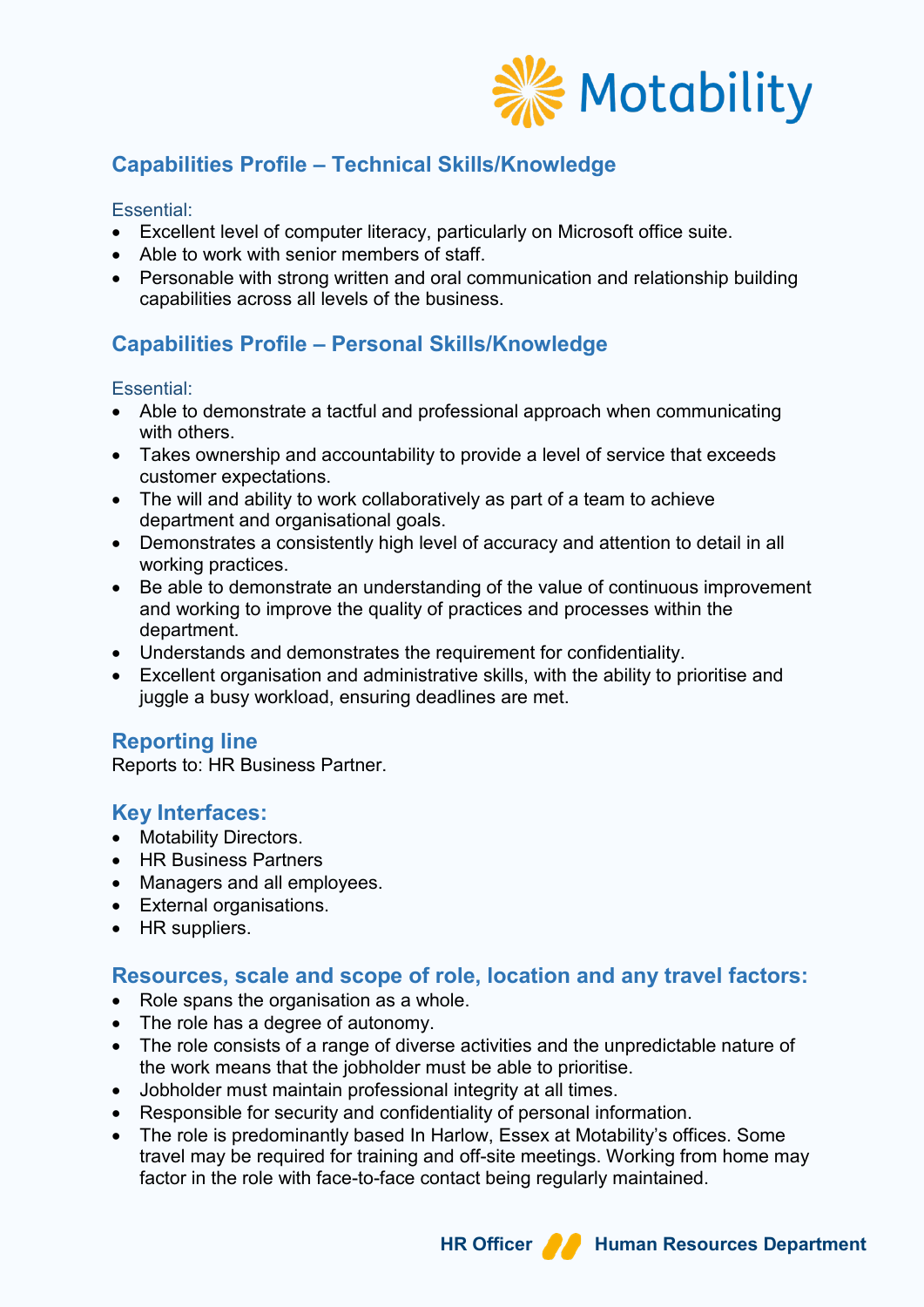

## **Capabilities Profile – Technical Skills/Knowledge**

### Essential:

- Excellent level of computer literacy, particularly on Microsoft office suite.
- Able to work with senior members of staff.
- Personable with strong written and oral communication and relationship building capabilities across all levels of the business.

## **Capabilities Profile – Personal Skills/Knowledge**

#### Essential:

- Able to demonstrate a tactful and professional approach when communicating with others.
- Takes ownership and accountability to provide a level of service that exceeds customer expectations.
- The will and ability to work collaboratively as part of a team to achieve department and organisational goals.
- Demonstrates a consistently high level of accuracy and attention to detail in all working practices.
- Be able to demonstrate an understanding of the value of continuous improvement and working to improve the quality of practices and processes within the department.
- Understands and demonstrates the requirement for confidentiality.
- Excellent organisation and administrative skills, with the ability to prioritise and juggle a busy workload, ensuring deadlines are met.

## **Reporting line**

Reports to: HR Business Partner.

## **Key Interfaces:**

- Motability Directors.
- HR Business Partners
- Managers and all employees.
- External organisations.
- HR suppliers.

## **Resources, scale and scope of role, location and any travel factors:**

- Role spans the organisation as a whole.
- The role has a degree of autonomy.
- The role consists of a range of diverse activities and the unpredictable nature of the work means that the jobholder must be able to prioritise.
- Jobholder must maintain professional integrity at all times.
- Responsible for security and confidentiality of personal information.
- The role is predominantly based In Harlow, Essex at Motability's offices. Some travel may be required for training and off-site meetings. Working from home may factor in the role with face-to-face contact being regularly maintained.



## **HR Officer A Human Resources Department**